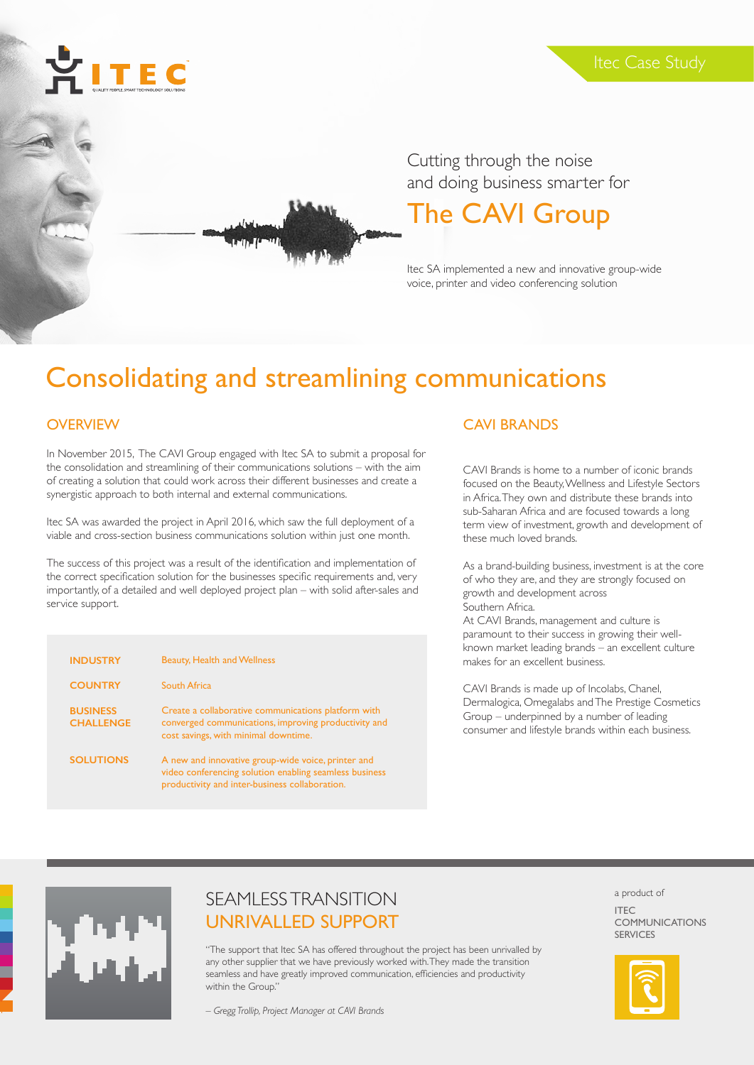



Cutting through the noise and doing business smarter for

## The CAVI Group

Itec SA implemented a new and innovative group-wide voice, printer and video conferencing solution

# Consolidating and streamlining communications

#### **OVERVIEW**

In November 2015, The CAVI Group engaged with Itec SA to submit a proposal for the consolidation and streamlining of their communications solutions – with the aim of creating a solution that could work across their different businesses and create a synergistic approach to both internal and external communications.

Itec SA was awarded the project in April 2016, which saw the full deployment of a viable and cross-section business communications solution within just one month.

The success of this project was a result of the identification and implementation of the correct specification solution for the businesses specific requirements and, very importantly, of a detailed and well deployed project plan – with solid after-sales and service support.

| <b>INDUSTRY</b>                     | <b>Beauty, Health and Wellness</b>                                                                                                                             |
|-------------------------------------|----------------------------------------------------------------------------------------------------------------------------------------------------------------|
| <b>COUNTRY</b>                      | South Africa                                                                                                                                                   |
| <b>BUSINESS</b><br><b>CHALLENGE</b> | Create a collaborative communications platform with<br>converged communications, improving productivity and<br>cost savings, with minimal downtime.            |
| <b>SOLUTIONS</b>                    | A new and innovative group-wide voice, printer and<br>video conferencing solution enabling seamless business<br>productivity and inter-business collaboration. |

#### CAVI BRANDS

CAVI Brands is home to a number of iconic brands focused on the Beauty, Wellness and Lifestyle Sectors in Africa. They own and distribute these brands into sub-Saharan Africa and are focused towards a long term view of investment, growth and development of these much loved brands.

As a brand-building business, investment is at the core of who they are, and they are strongly focused on growth and development across Southern Africa.

At CAVI Brands, management and culture is paramount to their success in growing their wellknown market leading brands – an excellent culture makes for an excellent business.

CAVI Brands is made up of Incolabs, Chanel, Dermalogica, Omegalabs and The Prestige Cosmetics Group – underpinned by a number of leading consumer and lifestyle brands within each business.



### SEAMLESS TRANSITION UNRIVALLED SUPPORT

"The support that Itec SA has offered throughout the project has been unrivalled by any other supplier that we have previously worked with. They made the transition seamless and have greatly improved communication, efficiencies and productivity within the Group."

*– Gregg Trollip, Project Manager at CAVI Brands*

a product of ITEC COMMUNICATIONS SERVICES

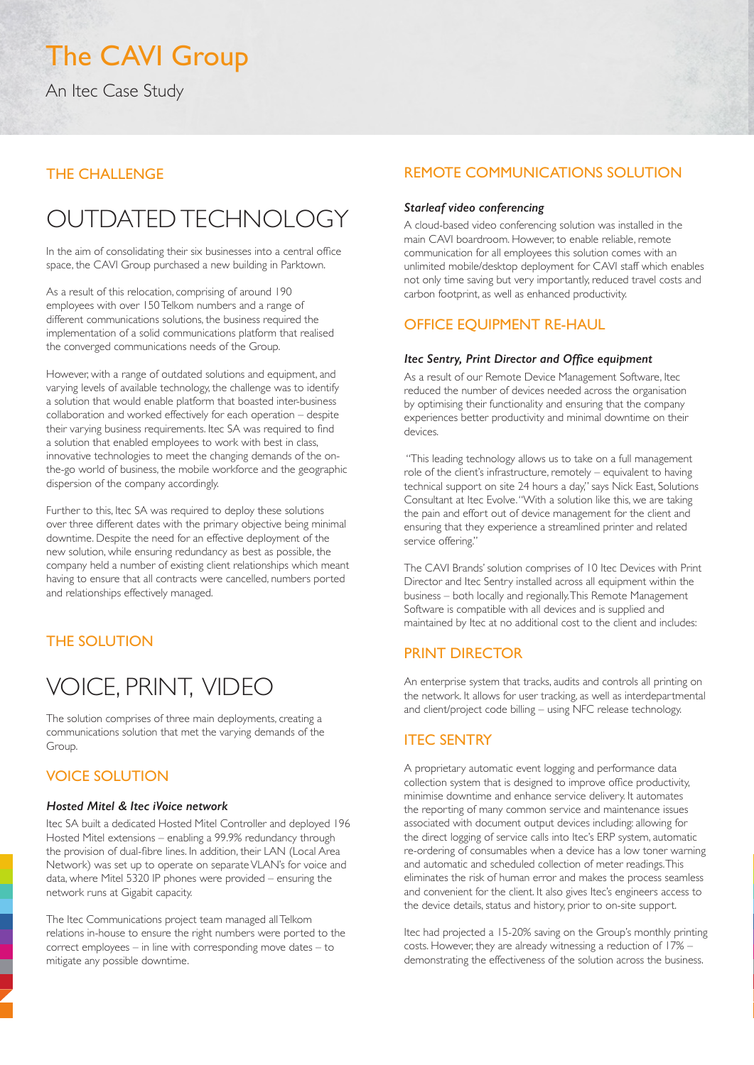# The CAVI Group

An Itec Case Study

### THE CHALLENGE

# OUTDATED TECHNOLOGY

In the aim of consolidating their six businesses into a central office space, the CAVI Group purchased a new building in Parktown.

As a result of this relocation, comprising of around 190 employees with over 150 Telkom numbers and a range of different communications solutions, the business required the implementation of a solid communications platform that realised the converged communications needs of the Group.

However, with a range of outdated solutions and equipment, and varying levels of available technology, the challenge was to identify a solution that would enable platform that boasted inter-business collaboration and worked effectively for each operation – despite their varying business requirements. Itec SA was required to find a solution that enabled employees to work with best in class, innovative technologies to meet the changing demands of the onthe-go world of business, the mobile workforce and the geographic dispersion of the company accordingly.

Further to this, Itec SA was required to deploy these solutions over three different dates with the primary objective being minimal downtime. Despite the need for an effective deployment of the new solution, while ensuring redundancy as best as possible, the company held a number of existing client relationships which meant having to ensure that all contracts were cancelled, numbers ported and relationships effectively managed.

### THE SOLUTION

### VOICE, PRINT, VIDEO

The solution comprises of three main deployments, creating a communications solution that met the varying demands of the Group.

### VOICE SOLUTION

#### *Hosted Mitel & Itec iVoice network*

Itec SA built a dedicated Hosted Mitel Controller and deployed 196 Hosted Mitel extensions – enabling a 99.9% redundancy through the provision of dual-fibre lines. In addition, their LAN (Local Area Network) was set up to operate on separate VLAN's for voice and data, where Mitel 5320 IP phones were provided – ensuring the network runs at Gigabit capacity.

The Itec Communications project team managed all Telkom relations in-house to ensure the right numbers were ported to the correct employees – in line with corresponding move dates – to mitigate any possible downtime.

### REMOTE COMMUNICATIONS SOLUTION

#### *Starleaf video conferencing*

A cloud-based video conferencing solution was installed in the main CAVI boardroom. However, to enable reliable, remote communication for all employees this solution comes with an unlimited mobile/desktop deployment for CAVI staff which enables not only time saving but very importantly, reduced travel costs and carbon footprint, as well as enhanced productivity.

#### OFFICE EQUIPMENT RE-HAUL

#### *Itec Sentry, Print Director and Office equipment*

As a result of our Remote Device Management Software, Itec reduced the number of devices needed across the organisation by optimising their functionality and ensuring that the company experiences better productivity and minimal downtime on their devices.

 "This leading technology allows us to take on a full management role of the client's infrastructure, remotely – equivalent to having technical support on site 24 hours a day," says Nick East, Solutions Consultant at Itec Evolve. "With a solution like this, we are taking the pain and effort out of device management for the client and ensuring that they experience a streamlined printer and related service offering."

The CAVI Brands' solution comprises of 10 Itec Devices with Print Director and Itec Sentry installed across all equipment within the business – both locally and regionally. This Remote Management Software is compatible with all devices and is supplied and maintained by Itec at no additional cost to the client and includes:

### PRINT DIRECTOR

An enterprise system that tracks, audits and controls all printing on the network. It allows for user tracking, as well as interdepartmental and client/project code billing – using NFC release technology.

### **ITEC SENTRY**

A proprietary automatic event logging and performance data collection system that is designed to improve office productivity, minimise downtime and enhance service delivery. It automates the reporting of many common service and maintenance issues associated with document output devices including: allowing for the direct logging of service calls into Itec's ERP system, automatic re-ordering of consumables when a device has a low toner warning and automatic and scheduled collection of meter readings. This eliminates the risk of human error and makes the process seamless and convenient for the client. It also gives Itec's engineers access to the device details, status and history, prior to on-site support.

Itec had projected a 15-20% saving on the Group's monthly printing costs. However, they are already witnessing a reduction of 17% – demonstrating the effectiveness of the solution across the business.